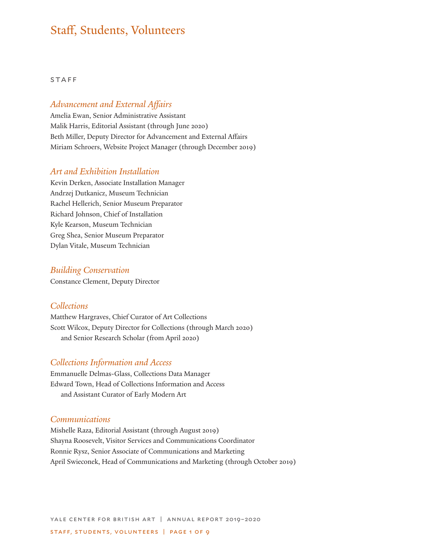# Staff, Students, Volunteers

#### STAFF

## *Advancement and External Affairs*

Amelia Ewan, Senior Administrative Assistant Malik Harris, Editorial Assistant (through June 2020) Beth Miller, Deputy Director for Advancement and External Affairs Miriam Schroers, Website Project Manager (through December 2019)

#### *Art and Exhibition Installation*

Kevin Derken, Associate Installation Manager Andrzej Dutkanicz, Museum Technician Rachel Hellerich, Senior Museum Preparator Richard Johnson, Chief of Installation Kyle Kearson, Museum Technician Greg Shea, Senior Museum Preparator Dylan Vitale, Museum Technician

#### *Building Conservation*

Constance Clement, Deputy Director

#### *Collections*

Matthew Hargraves, Chief Curator of Art Collections Scott Wilcox, Deputy Director for Collections (through March 2020) and Senior Research Scholar (from April 2020)

#### *Collections Information and Access*

Emmanuelle Delmas-Glass, Collections Data Manager Edward Town, Head of Collections Information and Access and Assistant Curator of Early Modern Art

#### *Communications*

Mishelle Raza, Editorial Assistant (through August 2019) Shayna Roosevelt, Visitor Services and Communications Coordinator Ronnie Rysz, Senior Associate of Communications and Marketing April Swieconek, Head of Communications and Marketing (through October 2019)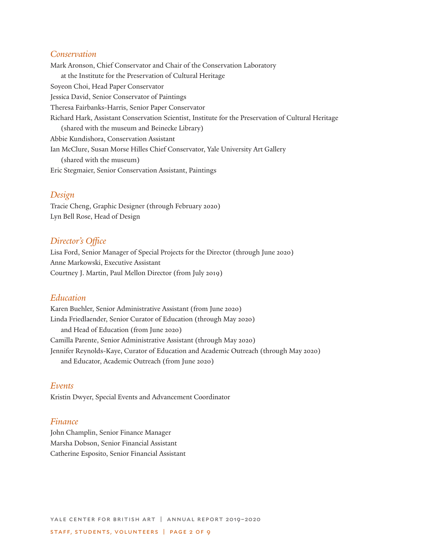## *Conservation*

Mark Aronson, Chief Conservator and Chair of the Conservation Laboratory at the Institute for the Preservation of Cultural Heritage Soyeon Choi, Head Paper Conservator Jessica David, Senior Conservator of Paintings Theresa Fairbanks-Harris, Senior Paper Conservator Richard Hark, Assistant Conservation Scientist, Institute for the Preservation of Cultural Heritage (shared with the museum and Beinecke Library) Abbie Kundishora, Conservation Assistant Ian McClure, Susan Morse Hilles Chief Conservator, Yale University Art Gallery (shared with the museum) Eric Stegmaier, Senior Conservation Assistant, Paintings

#### *Design*

Tracie Cheng, Graphic Designer (through February 2020) Lyn Bell Rose, Head of Design

#### *Director's Office*

Lisa Ford, Senior Manager of Special Projects for the Director (through June 2020) Anne Markowski, Executive Assistant Courtney J. Martin, Paul Mellon Director (from July 2019)

#### *Education*

Karen Buehler, Senior Administrative Assistant (from June 2020) Linda Friedlaender, Senior Curator of Education (through May 2020) and Head of Education (from June 2020) Camilla Parente, Senior Administrative Assistant (through May 2020) Jennifer Reynolds-Kaye, Curator of Education and Academic Outreach (through May 2020) and Educator, Academic Outreach (from June 2020)

#### *Events*

Kristin Dwyer, Special Events and Advancement Coordinator

#### *Finance*

John Champlin, Senior Finance Manager Marsha Dobson, Senior Financial Assistant Catherine Esposito, Senior Financial Assistant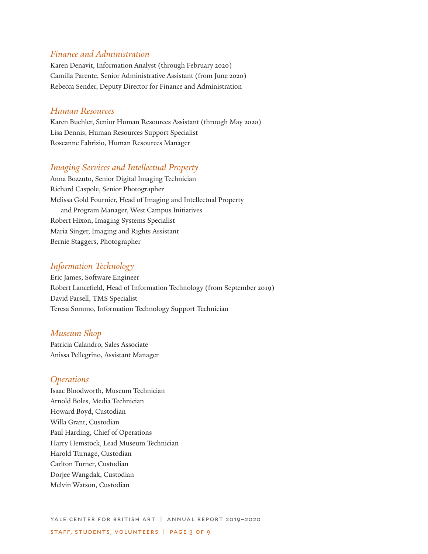## *Finance and Administration*

Karen Denavit, Information Analyst (through February 2020) Camilla Parente, Senior Administrative Assistant (from June 2020) Rebecca Sender, Deputy Director for Finance and Administration

#### *Human Resources*

Karen Buehler, Senior Human Resources Assistant (through May 2020) Lisa Dennis, Human Resources Support Specialist Roseanne Fabrizio, Human Resources Manager

#### *Imaging Services and Intellectual Property*

Anna Bozzuto, Senior Digital Imaging Technician Richard Caspole, Senior Photographer Melissa Gold Fournier, Head of Imaging and Intellectual Property and Program Manager, West Campus Initiatives Robert Hixon, Imaging Systems Specialist Maria Singer, Imaging and Rights Assistant Bernie Staggers, Photographer

## *Information Technology*

Eric James, Software Engineer Robert Lancefield, Head of Information Technology (from September 2019) David Parsell, TMS Specialist Teresa Sommo, Information Technology Support Technician

#### *Museum Shop*

Patricia Calandro, Sales Associate Anissa Pellegrino, Assistant Manager

## *Operations*

Isaac Bloodworth, Museum Technician Arnold Boles, Media Technician Howard Boyd, Custodian Willa Grant, Custodian Paul Harding, Chief of Operations Harry Hemstock, Lead Museum Technician Harold Turnage, Custodian Carlton Turner, Custodian Dorjee Wangdak, Custodian Melvin Watson, Custodian

yale center for british art | annual report 2019–2020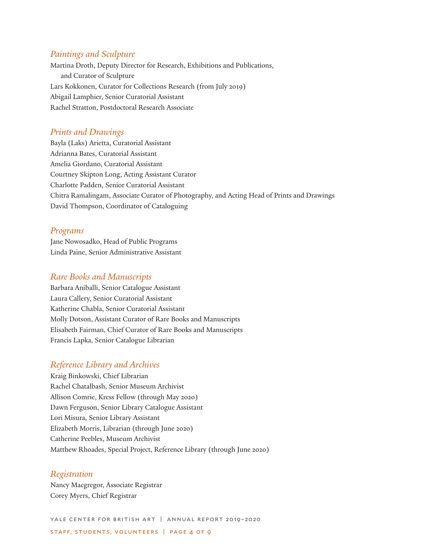#### *Paintings and Sculpture*

Martina Droth, Deputy Director for Research, Exhibitions and Publications, and Curator of Sculpture Lars Kokkonen, Curator for Collections Research (from July 2019) Abigail Lamphier, Senior Curatorial Assistant Rachel Stratton, Postdoctoral Research Associate

#### *Prints and Drawings*

Bayla (Laks) Arietta, Curatorial Assistant Adrianna Bates, Curatorial Assistant Amelia Giordano, Curatorial Assistant Courtney Skipton Long, Acting Assistant Curator Charlotte Padden, Senior Curatorial Assistant Chitra Ramalingam, Associate Curator of Photography, and Acting Head of Prints and Drawings David Thompson, Coordinator of Cataloguing

#### *Programs*

Jane Nowosadko, Head of Public Programs Linda Paine, Senior Administrative Assistant

#### *Rare Books and Manuscripts*

Barbara Aniballi, Senior Catalogue Assistant Laura Callery, Senior Curatorial Assistant Katherine Chabla, Senior Curatorial Assistant Molly Dotson, Assistant Curator of Rare Books and Manuscripts Elisabeth Fairman, Chief Curator of Rare Books and Manuscripts Francis Lapka, Senior Catalogue Librarian

#### *Reference Library and Archives*

Kraig Binkowski, Chief Librarian Rachel Chatalbash, Senior Museum Archivist Allison Comrie, Kress Fellow (through May 2020) Dawn Ferguson, Senior Library Catalogue Assistant Lori Misura, Senior Library Assistant Elizabeth Morris, Librarian (through June 2020) Catherine Peebles, Museum Archivist Matthew Rhoades, Special Project, Reference Library (through June 2020)

#### *Registration*

Nancy Macgregor, Associate Registrar Corey Myers, Chief Registrar

yale center for british art | annual report 2019–2020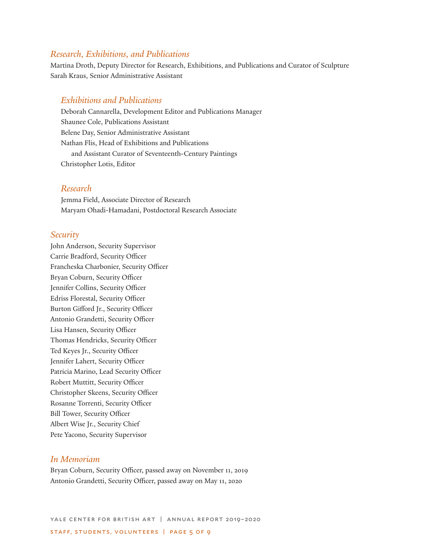## *Research, Exhibitions, and Publications*

Martina Droth, Deputy Director for Research, Exhibitions, and Publications and Curator of Sculpture Sarah Kraus, Senior Administrative Assistant

## *Exhibitions and Publications*

Deborah Cannarella, Development Editor and Publications Manager Shaunee Cole, Publications Assistant Belene Day, Senior Administrative Assistant Nathan Flis, Head of Exhibitions and Publications and Assistant Curator of Seventeenth-Century Paintings Christopher Lotis, Editor

## *Research*

Jemma Field, Associate Director of Research Maryam Ohadi-Hamadani, Postdoctoral Research Associate

#### *Security*

John Anderson, Security Supervisor Carrie Bradford, Security Officer Francheska Charbonier, Security Officer Bryan Coburn, Security Officer Jennifer Collins, Security Officer Edriss Florestal, Security Officer Burton Gifford Jr., Security Officer Antonio Grandetti, Security Officer Lisa Hansen, Security Officer Thomas Hendricks, Security Officer Ted Keyes Jr., Security Officer Jennifer Lahert, Security Officer Patricia Marino, Lead Security Officer Robert Muttitt, Security Officer Christopher Skeens, Security Officer Rosanne Torrenti, Security Officer Bill Tower, Security Officer Albert Wise Jr., Security Chief Pete Yacono, Security Supervisor

## *In Memoriam*

Bryan Coburn, Security Officer, passed away on November 11, 2019 Antonio Grandetti, Security Officer, passed away on May 11, 2020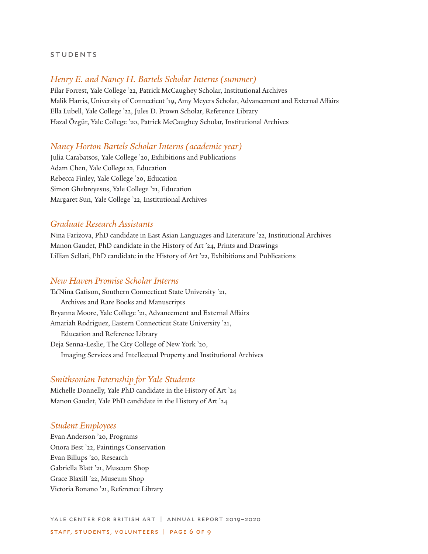#### **STUDENTS**

## *Henry E. and Nancy H. Bartels Scholar Interns (summer)*

Pilar Forrest, Yale College '22, Patrick McCaughey Scholar, Institutional Archives Malik Harris, University of Connecticut '19, Amy Meyers Scholar, Advancement and External Affairs Ella Lubell, Yale College '22, Jules D. Prown Scholar, Reference Library Hazal Õzgür, Yale College '20, Patrick McCaughey Scholar, Institutional Archives

#### *Nancy Horton Bartels Scholar Interns (academic year)*

Julia Carabatsos, Yale College '20, Exhibitions and Publications Adam Chen, Yale College 22, Education Rebecca Finley, Yale College '20, Education Simon Ghebreyesus, Yale College '21, Education Margaret Sun, Yale College '22, Institutional Archives

## *Graduate Research Assistants*

Nina Farizova, PhD candidate in East Asian Languages and Literature '22, Institutional Archives Manon Gaudet, PhD candidate in the History of Art '24, Prints and Drawings Lillian Sellati, PhD candidate in the History of Art '22, Exhibitions and Publications

## *New Haven Promise Scholar Interns*

Ta'Nina Gatison, Southern Connecticut State University '21, Archives and Rare Books and Manuscripts Bryanna Moore, Yale College '21, Advancement and External Affairs Amariah Rodriguez, Eastern Connecticut State University '21, Education and Reference Library Deja Senna-Leslie, The City College of New York '20, Imaging Services and Intellectual Property and Institutional Archives

#### *Smithsonian Internship for Yale Students*

Michelle Donnelly, Yale PhD candidate in the History of Art '24 Manon Gaudet, Yale PhD candidate in the History of Art '24

#### *Student Employees*

Evan Anderson '20, Programs Onora Best '22, Paintings Conservation Evan Billups '20, Research Gabriella Blatt '21, Museum Shop Grace Blaxill '22, Museum Shop Victoria Bonano '21, Reference Library

yale center for british art | annual report 2019–2020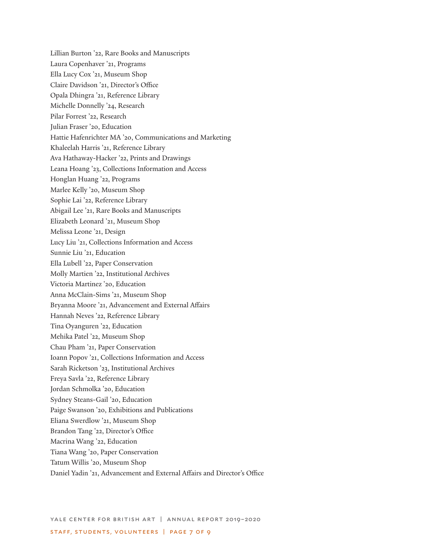Lillian Burton '22, Rare Books and Manuscripts Laura Copenhaver '21, Programs Ella Lucy Cox '21, Museum Shop Claire Davidson '21, Director's Office Opala Dhingra '21, Reference Library Michelle Donnelly '24, Research Pilar Forrest '22, Research Julian Fraser '20, Education Hattie Hafenrichter MA '20, Communications and Marketing Khaleelah Harris '21, Reference Library Ava Hathaway-Hacker '22, Prints and Drawings Leana Hoang '23, Collections Information and Access Honglan Huang '22, Programs Marlee Kelly '20, Museum Shop Sophie Lai '22, Reference Library Abigail Lee '21, Rare Books and Manuscripts Elizabeth Leonard '21, Museum Shop Melissa Leone '21, Design Lucy Liu '21, Collections Information and Access Sunnie Liu '21, Education Ella Lubell '22, Paper Conservation Molly Martien '22, Institutional Archives Victoria Martinez '20, Education Anna McClain-Sims '21, Museum Shop Bryanna Moore '21, Advancement and External Affairs Hannah Neves '22, Reference Library Tina Oyanguren '22, Education Mehika Patel '22, Museum Shop Chau Pham '21, Paper Conservation Ioann Popov '21, Collections Information and Access Sarah Ricketson '23, Institutional Archives Freya Savla '22, Reference Library Jordan Schmolka '20, Education Sydney Steans-Gail '20, Education Paige Swanson '20, Exhibitions and Publications Eliana Swerdlow '21, Museum Shop Brandon Tang '22, Director's Office Macrina Wang '22, Education Tiana Wang '20, Paper Conservation Tatum Willis '20, Museum Shop Daniel Yadin '21, Advancement and External Affairs and Director's Office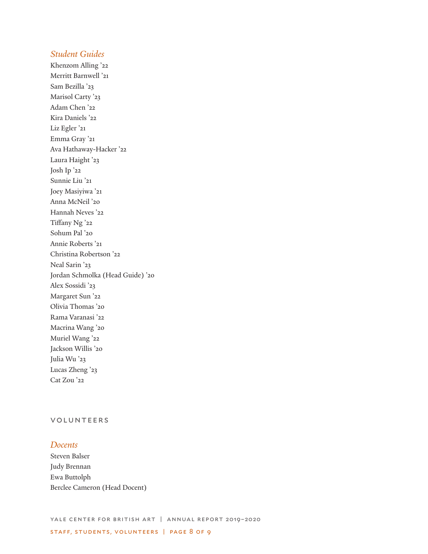## *Student Guides*

Khenzom Alling '22 Merritt Barnwell '21 Sam Bezilla '23 Marisol Carty '23 Adam Chen '22 Kira Daniels '22 Liz Egler '21 Emma Gray '21 Ava Hathaway-Hacker '22 Laura Haight '23 Josh Ip '22 Sunnie Liu '21 Joey Masiyiwa '21 Anna McNeil '20 Hannah Neves '22 Tiffany Ng '22 Sohum Pal '20 Annie Roberts '21 Christina Robertson '22 Neal Sarin '23 Jordan Schmolka (Head Guide) '20 Alex Sossidi '23 Margaret Sun '22 Olivia Thomas '20 Rama Varanasi '22 Macrina Wang '20 Muriel Wang '22 Jackson Willis '20 Julia Wu '23 Lucas Zheng '23 Cat Zou '22

## volunteers

#### *Docents*

Steven Balser Judy Brennan Ewa Buttolph Berclee Cameron (Head Docent)